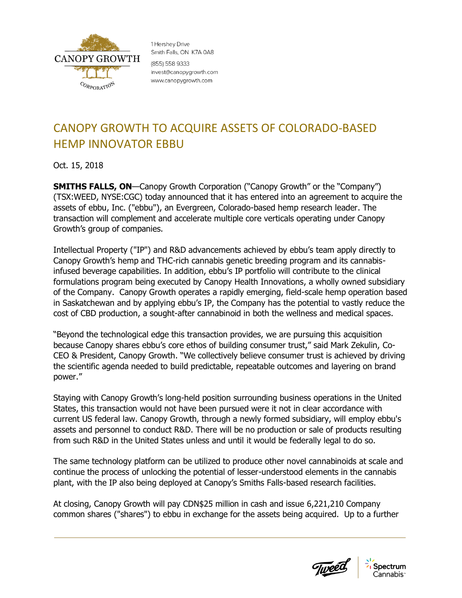

1 Hershey Drive Smith Falls, ON K7A 0A8 (855) 558 9333 invest@canopygrowth.com www.canopygrowth.com

## CANOPY GROWTH TO ACQUIRE ASSETS OF COLORADO-BASED HEMP INNOVATOR EBBU

Oct. 15, 2018

**SMITHS FALLS, ON**—Canopy Growth Corporation ("Canopy Growth" or the "Company") (TSX:WEED, NYSE:CGC) today announced that it has entered into an agreement to acquire the assets of ebbu, Inc. ("ebbu"), an Evergreen, Colorado-based hemp research leader. The transaction will complement and accelerate multiple core verticals operating under Canopy Growth's group of companies.

Intellectual Property ("IP") and R&D advancements achieved by ebbu's team apply directly to Canopy Growth's hemp and THC-rich cannabis genetic breeding program and its cannabisinfused beverage capabilities. In addition, ebbu's IP portfolio will contribute to the clinical formulations program being executed by Canopy Health Innovations, a wholly owned subsidiary of the Company. Canopy Growth operates a rapidly emerging, field-scale hemp operation based in Saskatchewan and by applying ebbu's IP, the Company has the potential to vastly reduce the cost of CBD production, a sought-after cannabinoid in both the wellness and medical spaces.

"Beyond the technological edge this transaction provides, we are pursuing this acquisition because Canopy shares ebbu's core ethos of building consumer trust," said Mark Zekulin, Co-CEO & President, Canopy Growth. "We collectively believe consumer trust is achieved by driving the scientific agenda needed to build predictable, repeatable outcomes and layering on brand power."

Staying with Canopy Growth's long-held position surrounding business operations in the United States, this transaction would not have been pursued were it not in clear accordance with current US federal law. Canopy Growth, through a newly formed subsidiary, will employ ebbu's assets and personnel to conduct R&D. There will be no production or sale of products resulting from such R&D in the United States unless and until it would be federally legal to do so.

The same technology platform can be utilized to produce other novel cannabinoids at scale and continue the process of unlocking the potential of lesser-understood elements in the cannabis plant, with the IP also being deployed at Canopy's Smiths Falls-based research facilities.

At closing, Canopy Growth will pay CDN\$25 million in cash and issue 6,221,210 Company common shares ("shares") to ebbu in exchange for the assets being acquired. Up to a further

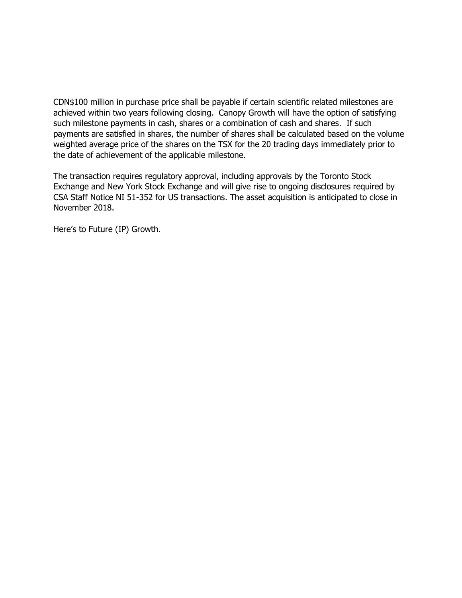CDN\$100 million in purchase price shall be payable if certain scientific related milestones are achieved within two years following closing. Canopy Growth will have the option of satisfying such milestone payments in cash, shares or a combination of cash and shares. If such payments are satisfied in shares, the number of shares shall be calculated based on the volume weighted average price of the shares on the TSX for the 20 trading days immediately prior to the date of achievement of the applicable milestone.

The transaction requires regulatory approval, including approvals by the Toronto Stock Exchange and New York Stock Exchange and will give rise to ongoing disclosures required by CSA Staff Notice NI 51-352 for US transactions. The asset acquisition is anticipated to close in November 2018.

Here's to Future (IP) Growth.